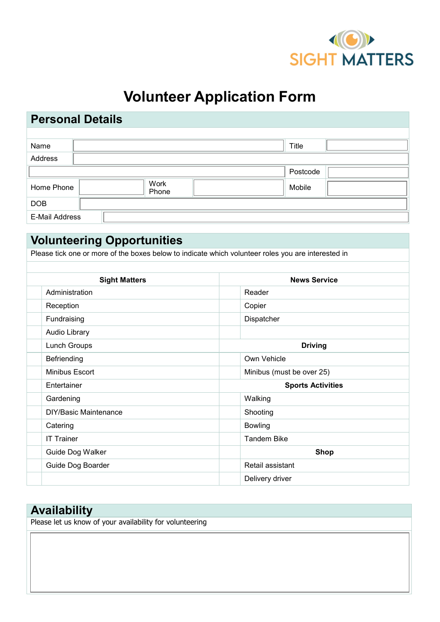

# **Volunteer Application Form**

# **Personal Details**

| Name                  |               | <b>Title</b> |  |
|-----------------------|---------------|--------------|--|
| Address               |               |              |  |
|                       |               | Postcode     |  |
| Home Phone            | Work<br>Phone | Mobile       |  |
| <b>DOB</b>            |               |              |  |
| <b>E-Mail Address</b> |               |              |  |

# **Volunteering Opportunities**

Please tick one or more of the boxes below to indicate which volunteer roles you are interested in

| <b>Sight Matters</b>  | <b>News Service</b>              |
|-----------------------|----------------------------------|
| Administration        | Reader                           |
| Reception             | Copier                           |
| Fundraising $\lceil$  | Dispatcher                       |
| Audio Library [       |                                  |
| Lunch Groups [        | <b>Driving</b>                   |
| Befriending           | Own Vehicle                      |
| Minibus Escort        | Minibus (must be over 25) $\Box$ |
| Entertainer           | <b>Sports Activities</b>         |
| Gardening             | Walking [                        |
| DIY/Basic Maintenance | Shooting $\Box$                  |
| Catering              | Bowling                          |
| IT Trainer $\Box$     | Tandem Bike                      |
| Guide Dog Walker      | <b>Shop</b>                      |
| Guide Dog Boarder     | Retail assistant $\Box$          |
|                       | Delivery driver <sup>[-1</sup> ] |

## **Availability**

Please let us know of your availability for volunteering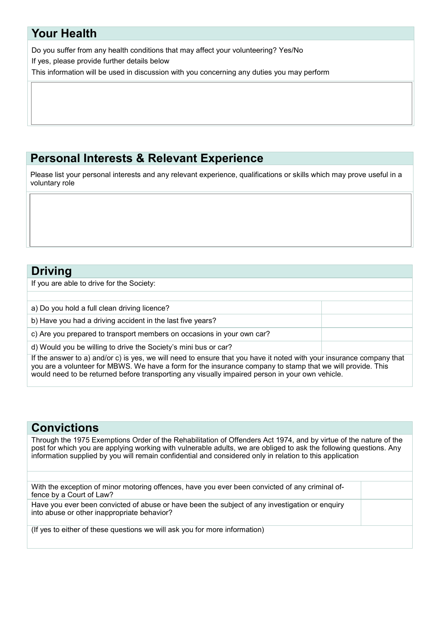### **Your Health**

Do you suffer from any health conditions that may affect your volunteering? Yes/No

If yes, please provide further details below

This information will be used in discussion with you concerning any duties you may perform

# **Personal Interests & Relevant Experience**

Please list your personal interests and any relevant experience, qualifications or skills which may prove useful in a voluntary role

#### **Driving**

If you are able to drive for the Society:

| a) Do you hold a full clean driving licence?                                                                                                                                                                                       |  |
|------------------------------------------------------------------------------------------------------------------------------------------------------------------------------------------------------------------------------------|--|
| b) Have you had a driving accident in the last five years?                                                                                                                                                                         |  |
| c) Are you prepared to transport members on occasions in your own car?                                                                                                                                                             |  |
| d) Would you be willing to drive the Society's mini bus or car?                                                                                                                                                                    |  |
| If the answer to a) and/or c) is yes, we will need to ensure that you have it noted with your insurance company that<br>veu are a velupteer for MRWS, We have a ferm for the incurance company to stamp that we will provide. This |  |

you are a volunteer for MBWS. We have a form for the insurance company to stamp that we will provide. This would need to be returned before transporting any visually impaired person in your own vehicle.

### **Convictions**

Through the 1975 Exemptions Order of the Rehabilitation of Offenders Act 1974, and by virtue of the nature of the post for which you are applying working with vulnerable adults, we are obliged to ask the following questions. Any information supplied by you will remain confidential and considered only in relation to this application

| With the exception of minor motoring offences, have you ever been convicted of any criminal of-<br>fence by a Court of Law?                   |  |
|-----------------------------------------------------------------------------------------------------------------------------------------------|--|
| Have you ever been convicted of abuse or have been the subject of any investigation or enquiry<br>into abuse or other inappropriate behavior? |  |
| (If yes to either of these questions we will ask you for more information)                                                                    |  |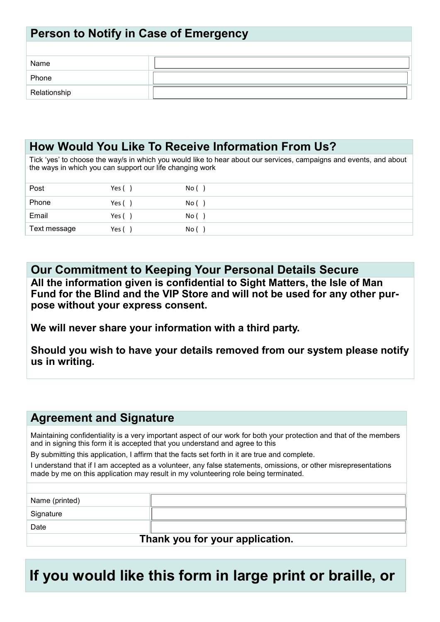### **Person to Notify in Case of Emergency**

| Name         |  |
|--------------|--|
| Phone        |  |
| Relationship |  |

### **How Would You Like To Receive Information From Us?**

Tick 'yes' to choose the way/s in which you would like to hear about our services, campaigns and events, and about the ways in which you can support our life changing work

| Post         | Yes ( | No i            |
|--------------|-------|-----------------|
| Phone        | Yes ( | No (            |
| Email        | Yes ( | No <sub>0</sub> |
| Text message | Yes ( | No <sub>1</sub> |

**Our Commitment to Keeping Your Personal Details Secure All the information given is confidential to Sight Matters, the Isle of Man Fund for the Blind and the VIP Store and will not be used for any other purpose without your express consent.** 

**We will never share your information with a third party.** 

**Should you wish to have your details removed from our system please notify us in writing.**

### **Agreement and Signature**

Maintaining confidentiality is a very important aspect of our work for both your protection and that of the members and in signing this form it is accepted that you understand and agree to this

By submitting this application, I affirm that the facts set forth in it are true and complete.

I understand that if I am accepted as a volunteer, any false statements, omissions, or other misrepresentations made by me on this application may result in my volunteering role being terminated.

| Name (printed)                  |  |
|---------------------------------|--|
| Signature                       |  |
| Date                            |  |
| Thank you for your application. |  |

**If you would like this form in large print or braille, or**